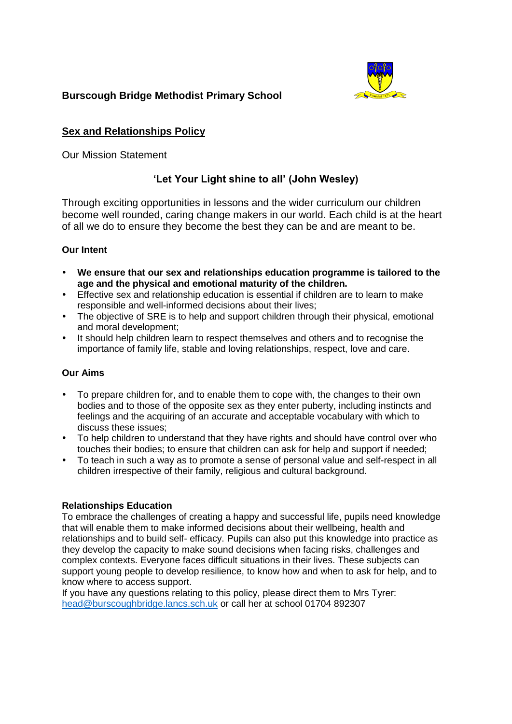

# **Burscough Bridge Methodist Primary School**

# **Sex and Relationships Policy**

# Our Mission Statement

# **'Let Your Light shine to all' (John Wesley)**

Through exciting opportunities in lessons and the wider curriculum our children become well rounded, caring change makers in our world. Each child is at the heart of all we do to ensure they become the best they can be and are meant to be.

# **Our Intent**

- **We ensure that our sex and relationships education programme is tailored to the age and the physical and emotional maturity of the children.**
- Effective sex and relationship education is essential if children are to learn to make responsible and well-informed decisions about their lives;
- The objective of SRE is to help and support children through their physical, emotional and moral development;
- It should help children learn to respect themselves and others and to recognise the importance of family life, stable and loving relationships, respect, love and care.

## **Our Aims**

- To prepare children for, and to enable them to cope with, the changes to their own bodies and to those of the opposite sex as they enter puberty, including instincts and feelings and the acquiring of an accurate and acceptable vocabulary with which to discuss these issues;
- To help children to understand that they have rights and should have control over who touches their bodies; to ensure that children can ask for help and support if needed;
- To teach in such a way as to promote a sense of personal value and self-respect in all children irrespective of their family, religious and cultural background.

## **Relationships Education**

To embrace the challenges of creating a happy and successful life, pupils need knowledge that will enable them to make informed decisions about their wellbeing, health and relationships and to build self- efficacy. Pupils can also put this knowledge into practice as they develop the capacity to make sound decisions when facing risks, challenges and complex contexts. Everyone faces difficult situations in their lives. These subjects can support young people to develop resilience, to know how and when to ask for help, and to know where to access support.

If you have any questions relating to this policy, please direct them to Mrs Tyrer: [head@burscoughbridge.lancs.sch.uk](mailto:head@burscoughbridge.lancs.sch.uk) or call her at school 01704 892307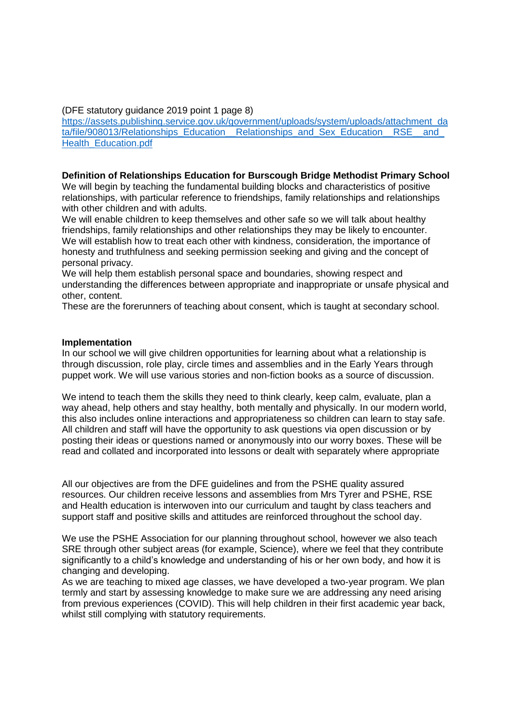(DFE statutory guidance 2019 point 1 page 8)

[https://assets.publishing.service.gov.uk/government/uploads/system/uploads/attachment\\_da](https://assets.publishing.service.gov.uk/government/uploads/system/uploads/attachment_data/file/908013/Relationships_Education__Relationships_and_Sex_Education__RSE__and_Health_Education.pdf) ta/file/908013/Relationships\_Education\_\_Relationships\_and\_Sex\_Education\_\_RSE\_\_and [Health\\_Education.pdf](https://assets.publishing.service.gov.uk/government/uploads/system/uploads/attachment_data/file/908013/Relationships_Education__Relationships_and_Sex_Education__RSE__and_Health_Education.pdf)

### **Definition of Relationships Education for Burscough Bridge Methodist Primary School**

We will begin by teaching the fundamental building blocks and characteristics of positive relationships, with particular reference to friendships, family relationships and relationships with other children and with adults.

We will enable children to keep themselves and other safe so we will talk about healthy friendships, family relationships and other relationships they may be likely to encounter. We will establish how to treat each other with kindness, consideration, the importance of honesty and truthfulness and seeking permission seeking and giving and the concept of personal privacy.

We will help them establish personal space and boundaries, showing respect and understanding the differences between appropriate and inappropriate or unsafe physical and other, content.

These are the forerunners of teaching about consent, which is taught at secondary school.

#### **Implementation**

In our school we will give children opportunities for learning about what a relationship is through discussion, role play, circle times and assemblies and in the Early Years through puppet work. We will use various stories and non-fiction books as a source of discussion.

We intend to teach them the skills they need to think clearly, keep calm, evaluate, plan a way ahead, help others and stay healthy, both mentally and physically. In our modern world, this also includes online interactions and appropriateness so children can learn to stay safe. All children and staff will have the opportunity to ask questions via open discussion or by posting their ideas or questions named or anonymously into our worry boxes. These will be read and collated and incorporated into lessons or dealt with separately where appropriate

All our objectives are from the DFE guidelines and from the PSHE quality assured resources. Our children receive lessons and assemblies from Mrs Tyrer and PSHE, RSE and Health education is interwoven into our curriculum and taught by class teachers and support staff and positive skills and attitudes are reinforced throughout the school day.

We use the PSHE Association for our planning throughout school, however we also teach SRE through other subject areas (for example, Science), where we feel that they contribute significantly to a child's knowledge and understanding of his or her own body, and how it is changing and developing.

As we are teaching to mixed age classes, we have developed a two-year program. We plan termly and start by assessing knowledge to make sure we are addressing any need arising from previous experiences (COVID). This will help children in their first academic year back, whilst still complying with statutory requirements.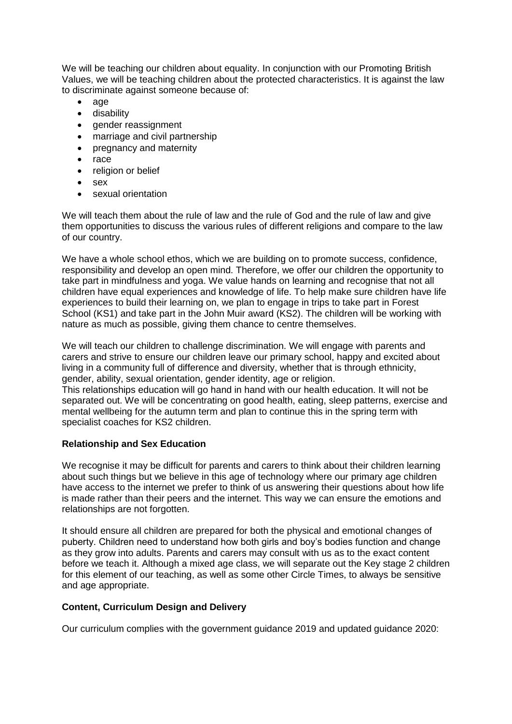We will be teaching our children about equality. In conjunction with our Promoting British Values, we will be teaching children about the protected characteristics. It is against the law to discriminate against someone because of:

- $\bullet$  age
- disability
- gender reassignment
- marriage and civil partnership
- pregnancy and maternity
- race
- religion or belief
- sex
- sexual orientation

We will teach them about the rule of law and the rule of God and the rule of law and give them opportunities to discuss the various rules of different religions and compare to the law of our country.

We have a whole school ethos, which we are building on to promote success, confidence, responsibility and develop an open mind. Therefore, we offer our children the opportunity to take part in mindfulness and yoga. We value hands on learning and recognise that not all children have equal experiences and knowledge of life. To help make sure children have life experiences to build their learning on, we plan to engage in trips to take part in Forest School (KS1) and take part in the John Muir award (KS2). The children will be working with nature as much as possible, giving them chance to centre themselves.

We will teach our children to challenge discrimination. We will engage with parents and carers and strive to ensure our children leave our primary school, happy and excited about living in a community full of difference and diversity, whether that is through ethnicity, gender, ability, sexual orientation, gender identity, age or religion.

This relationships education will go hand in hand with our health education. It will not be separated out. We will be concentrating on good health, eating, sleep patterns, exercise and mental wellbeing for the autumn term and plan to continue this in the spring term with specialist coaches for KS2 children.

# **Relationship and Sex Education**

We recognise it may be difficult for parents and carers to think about their children learning about such things but we believe in this age of technology where our primary age children have access to the internet we prefer to think of us answering their questions about how life is made rather than their peers and the internet. This way we can ensure the emotions and relationships are not forgotten.

It should ensure all children are prepared for both the physical and emotional changes of puberty. Children need to understand how both girls and boy's bodies function and change as they grow into adults. Parents and carers may consult with us as to the exact content before we teach it. Although a mixed age class, we will separate out the Key stage 2 children for this element of our teaching, as well as some other Circle Times, to always be sensitive and age appropriate.

## **Content, Curriculum Design and Delivery**

Our curriculum complies with the government guidance 2019 and updated guidance 2020: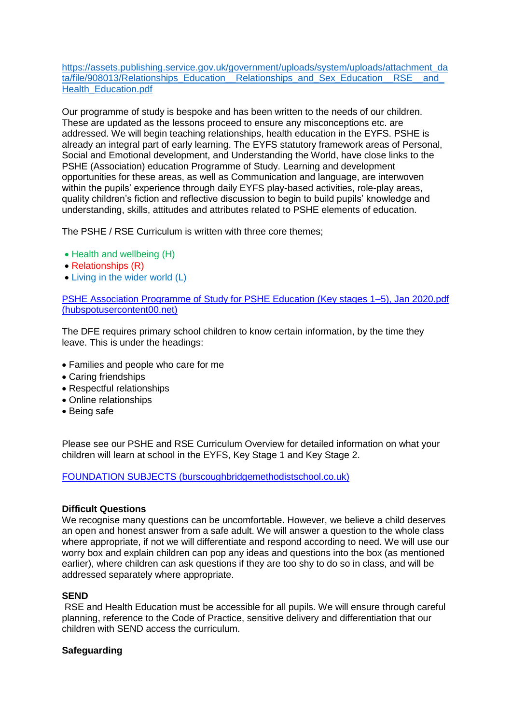[https://assets.publishing.service.gov.uk/government/uploads/system/uploads/attachment\\_da](https://assets.publishing.service.gov.uk/government/uploads/system/uploads/attachment_data/file/908013/Relationships_Education__Relationships_and_Sex_Education__RSE__and_Health_Education.pdf) ta/file/908013/Relationships\_Education\_\_Relationships\_and\_Sex\_Education\_\_RSE\_\_and [Health\\_Education.pdf](https://assets.publishing.service.gov.uk/government/uploads/system/uploads/attachment_data/file/908013/Relationships_Education__Relationships_and_Sex_Education__RSE__and_Health_Education.pdf)

Our programme of study is bespoke and has been written to the needs of our children. These are updated as the lessons proceed to ensure any misconceptions etc. are addressed. We will begin teaching relationships, health education in the EYFS. PSHE is already an integral part of early learning. The EYFS statutory framework areas of Personal, Social and Emotional development, and Understanding the World, have close links to the PSHE (Association) education Programme of Study. Learning and development opportunities for these areas, as well as Communication and language, are interwoven within the pupils' experience through daily EYFS play-based activities, role-play areas, quality children's fiction and reflective discussion to begin to build pupils' knowledge and understanding, skills, attitudes and attributes related to PSHE elements of education.

The PSHE / RSE Curriculum is written with three core themes;

- Health and wellbeing (H)
- Relationships (R)
- Living in the wider world (L)

[PSHE Association Programme of Study for PSHE Education \(Key stages 1–5\), Jan 2020.pdf](https://fs.hubspotusercontent00.net/hubfs/20248256/Programme%20of%20Study/PSHE%20Association%20Programme%20of%20Study%20for%20PSHE%20Education%20(Key%20stages%201%E2%80%935)%2c%20Jan%202020.pdf?hsCtaTracking=d718fa8f-77a8-445b-a64e-bb10ca9a52d8%7C90ef65f6-90ab-4e84-af7b-92884c142b27)  [\(hubspotusercontent00.net\)](https://fs.hubspotusercontent00.net/hubfs/20248256/Programme%20of%20Study/PSHE%20Association%20Programme%20of%20Study%20for%20PSHE%20Education%20(Key%20stages%201%E2%80%935)%2c%20Jan%202020.pdf?hsCtaTracking=d718fa8f-77a8-445b-a64e-bb10ca9a52d8%7C90ef65f6-90ab-4e84-af7b-92884c142b27)

The DFE requires primary school children to know certain information, by the time they leave. This is under the headings:

- Families and people who care for me
- Caring friendships
- Respectful relationships
- Online relationships
- Being safe

Please see our PSHE and RSE Curriculum Overview for detailed information on what your children will learn at school in the EYFS, Key Stage 1 and Key Stage 2.

[FOUNDATION SUBJECTS \(burscoughbridgemethodistschool.co.uk\)](https://burscoughbridgemethodistschool.co.uk/foundation-subjects/#carousel_2225)

### **Difficult Questions**

We recognise many questions can be uncomfortable. However, we believe a child deserves an open and honest answer from a safe adult. We will answer a question to the whole class where appropriate, if not we will differentiate and respond according to need. We will use our worry box and explain children can pop any ideas and questions into the box (as mentioned earlier), where children can ask questions if they are too shy to do so in class, and will be addressed separately where appropriate.

### **SEND**

RSE and Health Education must be accessible for all pupils. We will ensure through careful planning, reference to the Code of Practice, sensitive delivery and differentiation that our children with SEND access the curriculum.

## **Safeguarding**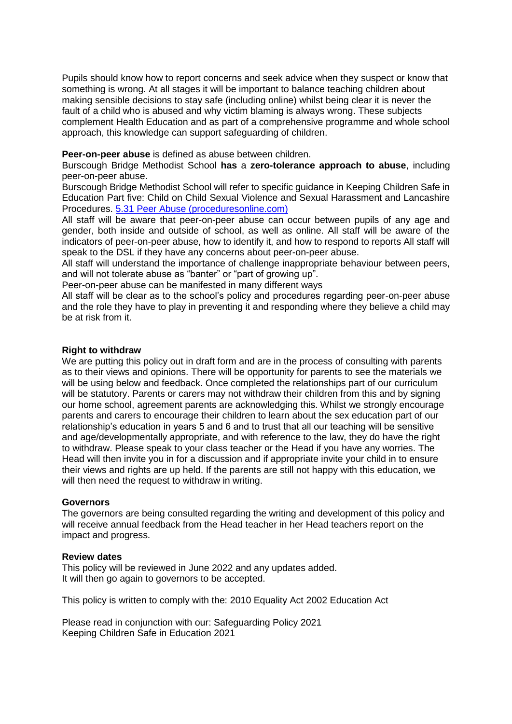Pupils should know how to report concerns and seek advice when they suspect or know that something is wrong. At all stages it will be important to balance teaching children about making sensible decisions to stay safe (including online) whilst being clear it is never the fault of a child who is abused and why victim blaming is always wrong. These subjects complement Health Education and as part of a comprehensive programme and whole school approach, this knowledge can support safeguarding of children.

### **Peer-on-peer abuse** is defined as abuse between children.

Burscough Bridge Methodist School **has** a **zero-tolerance approach to abuse**, including peer-on-peer abuse.

Burscough Bridge Methodist School will refer to specific guidance in Keeping Children Safe in Education Part five: Child on Child Sexual Violence and Sexual Harassment and Lancashire Procedures. [5.31 Peer Abuse \(proceduresonline.com\)](https://panlancashirescb.proceduresonline.com/chapters/p_peer_abuse.html)

All staff will be aware that peer-on-peer abuse can occur between pupils of any age and gender, both inside and outside of school, as well as online. All staff will be aware of the indicators of peer-on-peer abuse, how to identify it, and how to respond to reports All staff will speak to the DSL if they have any concerns about peer-on-peer abuse.

All staff will understand the importance of challenge inappropriate behaviour between peers, and will not tolerate abuse as "banter" or "part of growing up".

Peer-on-peer abuse can be manifested in many different ways

All staff will be clear as to the school's policy and procedures regarding peer-on-peer abuse and the role they have to play in preventing it and responding where they believe a child may be at risk from it.

### **Right to withdraw**

We are putting this policy out in draft form and are in the process of consulting with parents as to their views and opinions. There will be opportunity for parents to see the materials we will be using below and feedback. Once completed the relationships part of our curriculum will be statutory. Parents or carers may not withdraw their children from this and by signing our home school, agreement parents are acknowledging this. Whilst we strongly encourage parents and carers to encourage their children to learn about the sex education part of our relationship's education in years 5 and 6 and to trust that all our teaching will be sensitive and age/developmentally appropriate, and with reference to the law, they do have the right to withdraw. Please speak to your class teacher or the Head if you have any worries. The Head will then invite you in for a discussion and if appropriate invite your child in to ensure their views and rights are up held. If the parents are still not happy with this education, we will then need the request to withdraw in writing.

### **Governors**

The governors are being consulted regarding the writing and development of this policy and will receive annual feedback from the Head teacher in her Head teachers report on the impact and progress.

### **Review dates**

This policy will be reviewed in June 2022 and any updates added. It will then go again to governors to be accepted.

This policy is written to comply with the: 2010 Equality Act 2002 Education Act

Please read in conjunction with our: Safeguarding Policy 2021 Keeping Children Safe in Education 2021